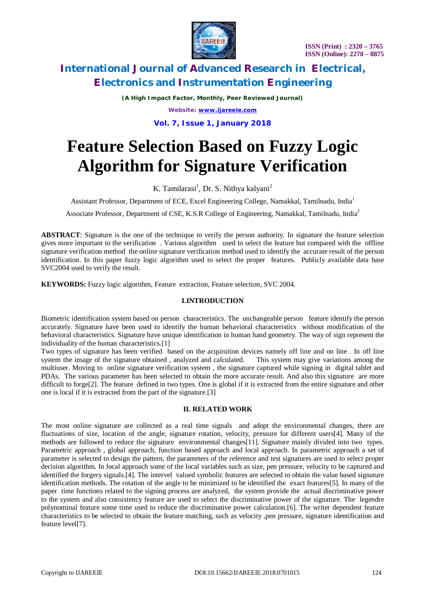

*(A High Impact Factor, Monthly, Peer Reviewed Journal) Website: [www.ijareeie.com](http://www.ijareeie.com)*

**Vol. 7, Issue 1, January 2018**

# **Feature Selection Based on Fuzzy Logic Algorithm for Signature Verification**

K. Tamilarasi<sup>1</sup>, Dr. S. Nithya kalyani<sup>2</sup>

Assistant Professor, Department of ECE, Excel Engineering College, Namakkal, Tamilnadu, India<sup>1</sup>

Associate Professor, Department of CSE, K.S.R College of Engineering, Namakkal, Tamilnadu, India<sup>2</sup>

**ABSTRACT**: Signature is the one of the technique to verify the person authority. In signature the feature selection gives more important to the verification . Various algorithm used to select the feature but compared with the offline signature verification method the online signature verification method used to identify the accurate result of the person identification. In this paper fuzzy logic algorithm used to select the proper features. Publicly available data base SVC2004 used to verify the result.

**KEYWORDS:** Fuzzy logic algorithm, Feature extraction, Feature selection, SVC 2004.

# **I.INTRODUCTION**

Biometric identification system based on person characteristics. The unchangeable person feature identify the person accurately. Signature have been used to identify the human behavioral characteristics without modification of the behavioral characteristics. Signature have unique identification in human hand geometry. The way of sign represent the individuality of the human characteristics.[1]

Two types of signature has been verified based on the acquisition devices namely off line and on line . In off line system the image of the signature obtained , analyzed and calculated. This system may give variations among the multiuser. Moving to online signature verification system , the signature captured while signing in digital tablet and PDAs. The various parameter has been selected to obtain the more accurate result. And also this signature are more difficult to forge<sup>[2]</sup>. The feature defined in two types. One is global if it is extracted from the entire signature and other one is local if it is extracted from the part of the signature.[3]

# **II. RELATED WORK**

The most online signature are collected as a real time signals and adopt the environmental changes, there are fluctuations of size, location of the angle, signature rotation, velocity, pressure for different users[4]. Many of the methods are followed to reduce the signature environmental changes[11]. Signature mainly divided into two types. Parametric approach , global approach, function based approach and local approach. In parametric approach a set of parameter is selected to design the pattern, the parameters of the reference and test signatures are used to select proper decision algorithm. In local approach some of the local variables such as size, pen pressure, velocity to be captured and identified the forgery signals.[4]. The intervel valued symbolic features are selected to obtain the value based signature identification methods. The rotation of the angle to be minimized to be identified the exact features[5]. In many of the paper time functions related to the signing process are analyzed, the system provide the actual discriminative power to the system and also consistency feature are used to select the discriminative power of the signature. The legendre polynominal feature some time used to reduce the discriminative power calculation.[6]. The writer dependent feature characteristics to be selected to obtain the feature matching, such as velocity ,pen pressure, signature identification and feature level[7].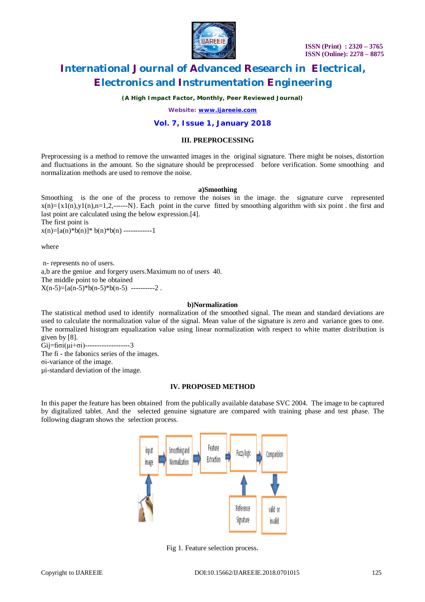

*(A High Impact Factor, Monthly, Peer Reviewed Journal)*

*Website: [www.ijareeie.com](http://www.ijareeie.com)*

# **Vol. 7, Issue 1, January 2018**

### **III. PREPROCESSING**

Preprocessing is a method to remove the unwanted images in the original signature. There might be noises, distortion and fluctuations in the amount. So the signature should be preprocessed before verification. Some smoothing and normalization methods are used to remove the noise.

#### **a)Smoothing**

Smoothing is the one of the process to remove the noises in the image. the signature curve represented  $x(n) = {x1(n),y1(n),n=1,2,......}$ . Each point in the curve fitted by smoothing algorithm with six point . the first and last point are calculated using the below expression.[4]. The first point is

 $x(n) = [a(n)*b(n)]*b(n)*b(n)$  ------------1

where

n- represents no of users. a,b are the geniue and forgery users.Maximum no of users 40. The middle point to be obtained  $X(n-5)=\left[a(n-5)*b(n-5)*b(n-5)\right]$  ----------2.

#### **b)Normalization**

The statistical method used to identify normalization of the smoothed signal. The mean and standard deviations are used to calculate the normalization value of the signal. Mean value of the signature is zero and variance goes to one. The normalized histogram equalization value using linear normalization with respect to white matter distribution is given by [8].

Gij=fiσi(µi+σi)-------------------3 The fi - the fabonics series of the images.

σi-variance of the image.

µi-standard deviation of the image.

# **IV. PROPOSED METHOD**

In this paper the feature has been obtained from the publically available database SVC 2004. The image to be captured by digitalized tablet. And the selected genuine signature are compared with training phase and test phase. The following diagram shows the selection process.



Fig 1. Feature selection process.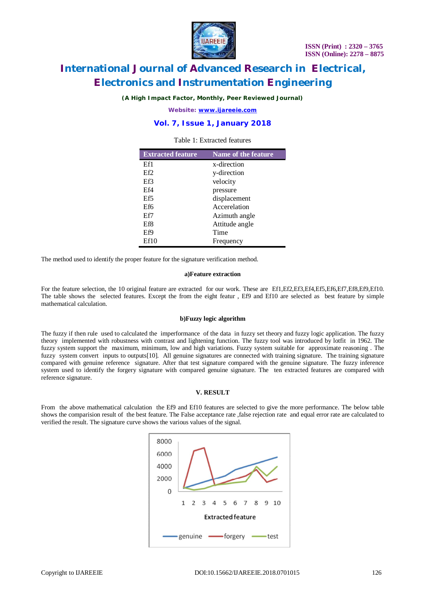

*(A High Impact Factor, Monthly, Peer Reviewed Journal)*

*Website: [www.ijareeie.com](http://www.ijareeie.com)*

# **Vol. 7, Issue 1, January 2018**

### Table 1: Extracted features

| <b>Extracted feature</b> | <b>Name of the feature</b> |  |  |
|--------------------------|----------------------------|--|--|
| Ef1                      | x-direction                |  |  |
| Ef2                      | y-direction                |  |  |
| Ef3                      | velocity                   |  |  |
| Ef4                      | pressure                   |  |  |
| Ef <sub>5</sub>          | displacement               |  |  |
| Ef6                      | Accerelation               |  |  |
| Ef7                      | Azimuth angle              |  |  |
| Ef8                      | Attitude angle             |  |  |
| Ef9                      | Time                       |  |  |
| Ef10                     | Frequency                  |  |  |

The method used to identify the proper feature for the signature verification method.

#### **a)Feature extraction**

For the feature selection, the 10 original feature are extracted for our work. These are Ef1, Ef2, Ef3, Ef4, Ef5, Ef6, Ef7, Ef8, Ef9, Ef10. The table shows the selected features. Except the from the eight featur , Ef9 and Ef10 are selected as best feature by simple mathematical calculation.

#### **b)Fuzzy logic algorithm**

The fuzzy if then rule used to calculated the imperformance of the data in fuzzy set theory and fuzzy logic application. The fuzzy theory implemented with robustness with contrast and lightening function. The fuzzy tool was introduced by lotfit in 1962. The fuzzy system support the maximum, minimum, low and high variations. Fuzzy system suitable for approximate reasoning . The fuzzy system convert inputs to outputs[10]. All genuine signatures are connected with training signature. The training signature compared with genuine reference signature. After that test signature compared with the genuine signature. The fuzzy inference system used to identify the forgery signature with compared genuine signature. The ten extracted features are compared with reference signature.

#### **V. RESULT**

From the above mathematical calculation the Ef9 and Ef10 features are selected to give the more performance. The below table shows the comparision result of the best feature. The False acceptance rate ,false rejection rate and equal error rate are calculated to verified the result. The signature curve shows the various values of the signal.